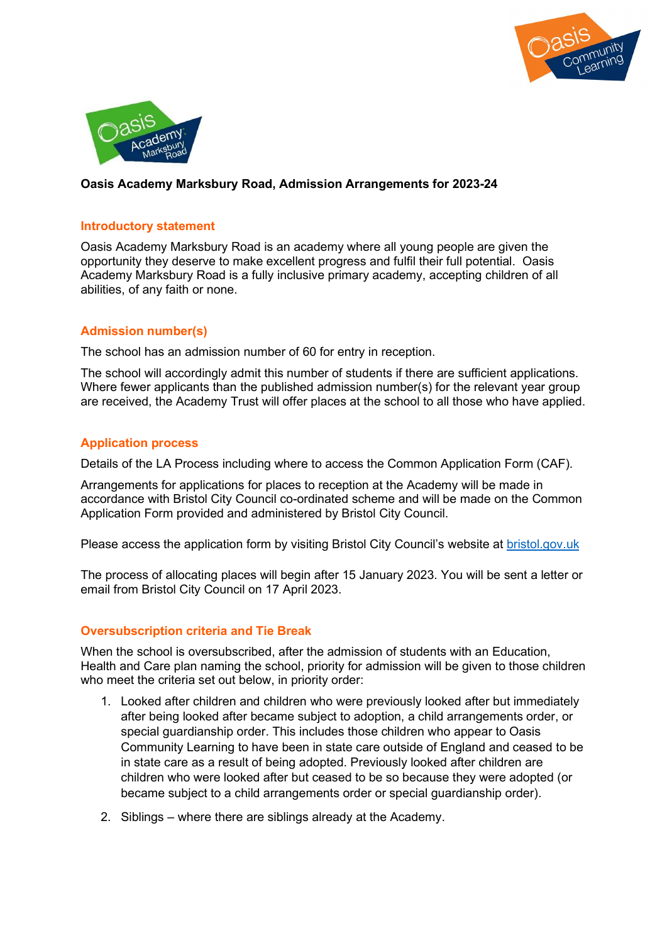



## Oasis Academy Marksbury Road, Admission Arrangements for 2023-24

#### Introductory statement

Oasis Academy Marksbury Road is an academy where all young people are given the opportunity they deserve to make excellent progress and fulfil their full potential. Oasis Academy Marksbury Road is a fully inclusive primary academy, accepting children of all abilities, of any faith or none.

### Admission number(s)

The school has an admission number of 60 for entry in reception.

The school will accordingly admit this number of students if there are sufficient applications. Where fewer applicants than the published admission number(s) for the relevant year group are received, the Academy Trust will offer places at the school to all those who have applied.

### Application process

Details of the LA Process including where to access the Common Application Form (CAF).

Arrangements for applications for places to reception at the Academy will be made in accordance with Bristol City Council co-ordinated scheme and will be made on the Common Application Form provided and administered by Bristol City Council.

Please access the application form by visiting Bristol City Council's website at bristol.gov.uk

The process of allocating places will begin after 15 January 2023. You will be sent a letter or email from Bristol City Council on 17 April 2023.

#### Oversubscription criteria and Tie Break

When the school is oversubscribed, after the admission of students with an Education, Health and Care plan naming the school, priority for admission will be given to those children who meet the criteria set out below, in priority order:

- 1. Looked after children and children who were previously looked after but immediately after being looked after became subject to adoption, a child arrangements order, or special guardianship order. This includes those children who appear to Oasis Community Learning to have been in state care outside of England and ceased to be in state care as a result of being adopted. Previously looked after children are children who were looked after but ceased to be so because they were adopted (or became subject to a child arrangements order or special guardianship order).
- 2. Siblings where there are siblings already at the Academy.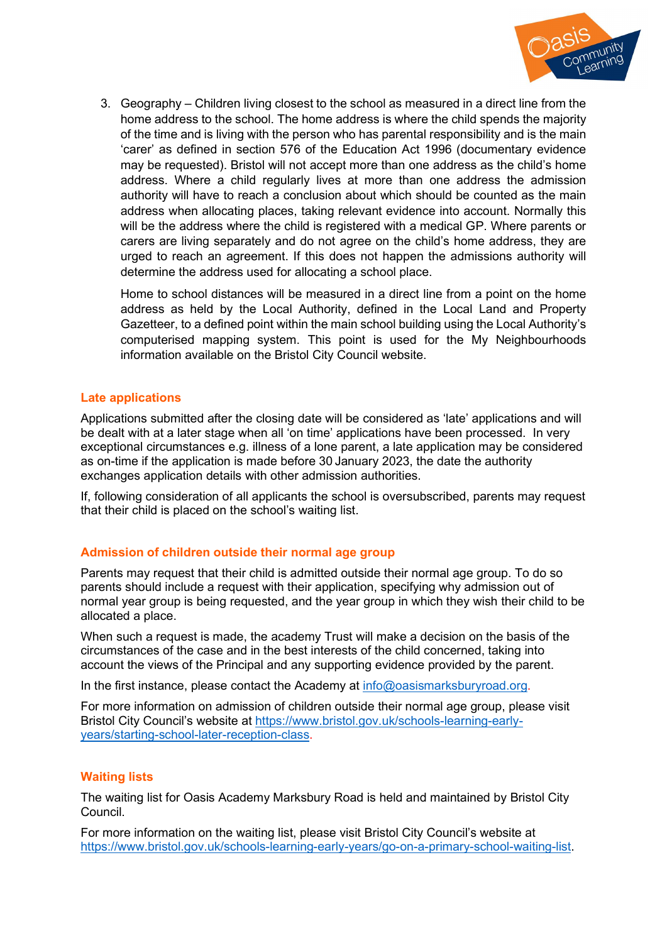

3. Geography – Children living closest to the school as measured in a direct line from the home address to the school. The home address is where the child spends the majority of the time and is living with the person who has parental responsibility and is the main 'carer' as defined in section 576 of the Education Act 1996 (documentary evidence may be requested). Bristol will not accept more than one address as the child's home address. Where a child regularly lives at more than one address the admission authority will have to reach a conclusion about which should be counted as the main address when allocating places, taking relevant evidence into account. Normally this will be the address where the child is registered with a medical GP. Where parents or carers are living separately and do not agree on the child's home address, they are urged to reach an agreement. If this does not happen the admissions authority will determine the address used for allocating a school place.

Home to school distances will be measured in a direct line from a point on the home address as held by the Local Authority, defined in the Local Land and Property Gazetteer, to a defined point within the main school building using the Local Authority's computerised mapping system. This point is used for the My Neighbourhoods information available on the Bristol City Council website.

# Late applications

Applications submitted after the closing date will be considered as 'late' applications and will be dealt with at a later stage when all 'on time' applications have been processed. In very exceptional circumstances e.g. illness of a lone parent, a late application may be considered as on-time if the application is made before 30 January 2023, the date the authority exchanges application details with other admission authorities.

If, following consideration of all applicants the school is oversubscribed, parents may request that their child is placed on the school's waiting list.

## Admission of children outside their normal age group

Parents may request that their child is admitted outside their normal age group. To do so parents should include a request with their application, specifying why admission out of normal year group is being requested, and the year group in which they wish their child to be allocated a place.

When such a request is made, the academy Trust will make a decision on the basis of the circumstances of the case and in the best interests of the child concerned, taking into account the views of the Principal and any supporting evidence provided by the parent.

In the first instance, please contact the Academy at info@oasismarksburyroad.org.

For more information on admission of children outside their normal age group, please visit Bristol City Council's website at https://www.bristol.gov.uk/schools-learning-earlyyears/starting-school-later-reception-class.

## Waiting lists

The waiting list for Oasis Academy Marksbury Road is held and maintained by Bristol City Council.

For more information on the waiting list, please visit Bristol City Council's website at https://www.bristol.gov.uk/schools-learning-early-years/go-on-a-primary-school-waiting-list.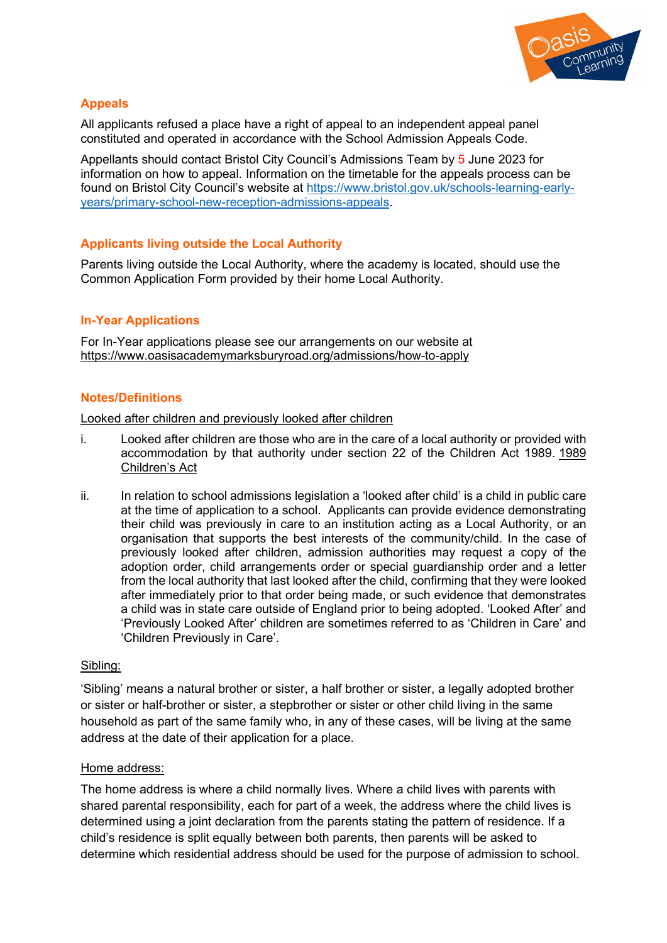

## Appeals

All applicants refused a place have a right of appeal to an independent appeal panel constituted and operated in accordance with the School Admission Appeals Code.

Appellants should contact Bristol City Council's Admissions Team by 5 June 2023 for information on how to appeal. Information on the timetable for the appeals process can be found on Bristol City Council's website at https://www.bristol.gov.uk/schools-learning-earlyyears/primary-school-new-reception-admissions-appeals.

# Applicants living outside the Local Authority

Parents living outside the Local Authority, where the academy is located, should use the Common Application Form provided by their home Local Authority.

## In-Year Applications

For In-Year applications please see our arrangements on our website at https://www.oasisacademymarksburyroad.org/admissions/how-to-apply

## Notes/Definitions

Looked after children and previously looked after children

- i. Looked after children are those who are in the care of a local authority or provided with accommodation by that authority under section 22 of the Children Act 1989. 1989 Children's Act
- ii. In relation to school admissions legislation a 'looked after child' is a child in public care at the time of application to a school. Applicants can provide evidence demonstrating their child was previously in care to an institution acting as a Local Authority, or an organisation that supports the best interests of the community/child. In the case of previously looked after children, admission authorities may request a copy of the adoption order, child arrangements order or special guardianship order and a letter from the local authority that last looked after the child, confirming that they were looked after immediately prior to that order being made, or such evidence that demonstrates a child was in state care outside of England prior to being adopted. 'Looked After' and 'Previously Looked After' children are sometimes referred to as 'Children in Care' and 'Children Previously in Care'.

#### Sibling:

'Sibling' means a natural brother or sister, a half brother or sister, a legally adopted brother or sister or half-brother or sister, a stepbrother or sister or other child living in the same household as part of the same family who, in any of these cases, will be living at the same address at the date of their application for a place.

#### Home address:

The home address is where a child normally lives. Where a child lives with parents with shared parental responsibility, each for part of a week, the address where the child lives is determined using a joint declaration from the parents stating the pattern of residence. If a child's residence is split equally between both parents, then parents will be asked to determine which residential address should be used for the purpose of admission to school.